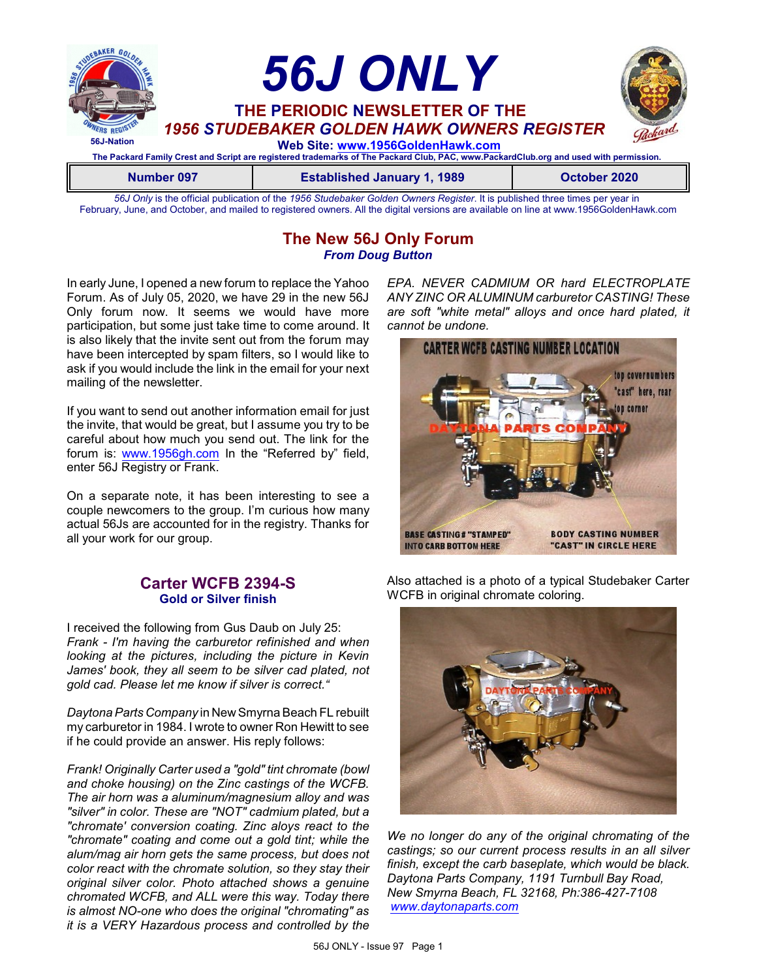

*56J Only* is the official publication of the *1956 Studebaker Golden Owners Register*. It is published three times per year in February, June, and October, and mailed to registered owners. All the digital versions are available on line at www.1956GoldenHawk.com

### **The New 56J Only Forum** *From Doug Button*

In early June, I opened a new forum to replace the Yahoo Forum. As of July 05, 2020, we have 29 in the new 56J Only forum now. It seems we would have more participation, but some just take time to come around. It is also likely that the invite sent out from the forum may have been intercepted by spam filters, so I would like to ask if you would include the link in the email for your next mailing of the newsletter.

If you want to send out another information email for just the invite, that would be great, but I assume you try to be careful about how much you send out. The link for the forum is: [www.1956gh.com](http://www.1956gh.com) In the "Referred by" field, enter 56J Registry or Frank.

On a separate note, it has been interesting to see a couple newcomers to the group. I'm curious how many actual 56Js are accounted for in the registry. Thanks for all your work for our group.

#### **Carter WCFB 2394-S Gold or Silver finish**

I received the following from Gus Daub on July 25: *Frank - I'm having the carburetor refinished and when looking at the pictures, including the picture in Kevin James' book, they all seem to be silver cad plated, not gold cad. Please let me know if silver is correct."*

*Daytona Parts Company* in NewSmyrna Beach FL rebuilt my carburetor in 1984. I wrote to owner Ron Hewitt to see if he could provide an answer. His reply follows:

*Frank! Originally Carter used a "gold" tint chromate (bowl and choke housing) on the Zinc castings of the WCFB. The air horn was a aluminum/magnesium alloy and was "silver" in color. These are "NOT" cadmium plated, but a "chromate' conversion coating. Zinc aloys react to the "chromate" coating and come out a gold tint; while the alum/mag air horn gets the same process, but does not color react with the chromate solution, so they stay their original silver color. Photo attached shows a genuine chromated WCFB, and ALL were this way. Today there is almost NO-one who does the original "chromating" as it is a VERY Hazardous process and controlled by the*

*EPA. NEVER CADMIUM OR hard ELECTROPLATE ANY ZINC OR ALUMINUM carburetor CASTING! These are soft "white metal" alloys and once hard plated, it cannot be undone.*



Also attached is a photo of a typical Studebaker Carter WCFB in original chromate coloring.



*We no longer do any of the original chromating of the castings; so our current process results in an all silver finish, except the carb baseplate, which would be black. Daytona Parts Company, 1191 Turnbull Bay Road, New Smyrna Beach, FL 32168, Ph:386-427-7108 [www.daytonaparts.com](http://www.daytonaparts.com)*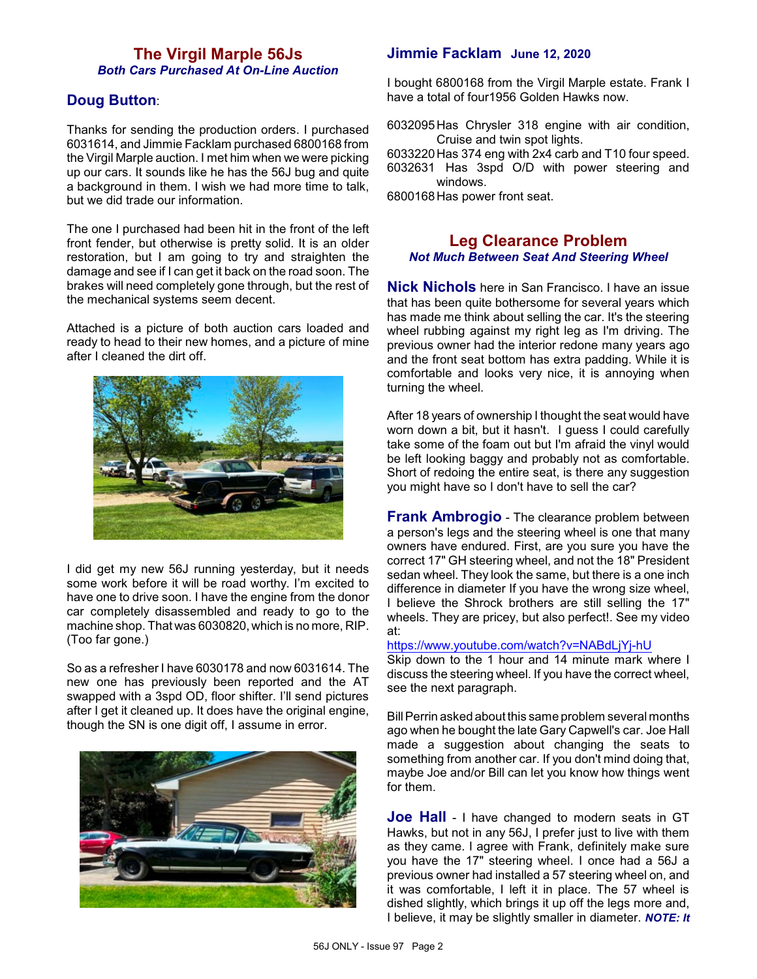## **The Virgil Marple 56Js** *Both Cars Purchased At On-Line Auction*

## **Doug Button**:

Thanks for sending the production orders. I purchased 6031614, and Jimmie Facklam purchased 6800168 from the Virgil Marple auction. I met him when we were picking up our cars. It sounds like he has the 56J bug and quite a background in them. I wish we had more time to talk, but we did trade our information.

The one I purchased had been hit in the front of the left front fender, but otherwise is pretty solid. It is an older restoration, but I am going to try and straighten the damage and see if I can get it back on the road soon. The brakes will need completely gone through, but the rest of the mechanical systems seem decent.

Attached is a picture of both auction cars loaded and ready to head to their new homes, and a picture of mine after I cleaned the dirt off.



I did get my new 56J running yesterday, but it needs some work before it will be road worthy. I'm excited to have one to drive soon. I have the engine from the donor car completely disassembled and ready to go to the machine shop. That was 6030820, which is no more, RIP. (Too far gone.)

So as a refresher I have 6030178 and now 6031614. The new one has previously been reported and the AT swapped with a 3spd OD, floor shifter. I'll send pictures after I get it cleaned up. It does have the original engine, though the SN is one digit off, I assume in error.



## **Jimmie Facklam June 12, 2020**

I bought 6800168 from the Virgil Marple estate. Frank I have a total of four1956 Golden Hawks now.

6032095Has Chrysler 318 engine with air condition, Cruise and twin spot lights.

6033220Has 374 eng with 2x4 carb and T10 four speed. 6032631 Has 3spd O/D with power steering and windows.

6800168Has power front seat.

### **Leg Clearance Problem** *Not Much Between Seat And Steering Wheel*

**Nick Nichols** here in San Francisco. I have an issue that has been quite bothersome for several years which has made me think about selling the car. It's the steering wheel rubbing against my right leg as I'm driving. The previous owner had the interior redone many years ago and the front seat bottom has extra padding. While it is comfortable and looks very nice, it is annoying when turning the wheel.

After 18 years of ownership I thought the seat would have worn down a bit, but it hasn't. I guess I could carefully take some of the foam out but I'm afraid the vinyl would be left looking baggy and probably not as comfortable. Short of redoing the entire seat, is there any suggestion you might have so I don't have to sell the car?

**Frank Ambrogio** - The clearance problem between a person's legs and the steering wheel is one that many owners have endured. First, are you sure you have the correct 17" GH steering wheel, and not the 18" President sedan wheel. They look the same, but there is a one inch difference in diameter If you have the wrong size wheel, I believe the Shrock brothers are still selling the 17" wheels. They are pricey, but also perfect!. See my video at:

<https://www.youtube.com/watch?v=NABdLjYj-hU>

Skip down to the 1 hour and 14 minute mark where I discuss the steering wheel. If you have the correct wheel, see the next paragraph.

BillPerrin asked about this same problem several months ago when he bought the late Gary Capwell's car. Joe Hall made a suggestion about changing the seats to something from another car. If you don't mind doing that, maybe Joe and/or Bill can let you know how things went for them.

**Joe Hall** - I have changed to modern seats in GT Hawks, but not in any 56J, I prefer just to live with them as they came. I agree with Frank, definitely make sure you have the 17" steering wheel. I once had a 56J a previous owner had installed a 57 steering wheel on, and it was comfortable, I left it in place. The 57 wheel is dished slightly, which brings it up off the legs more and, I believe, it may be slightly smaller in diameter. *NOTE: It*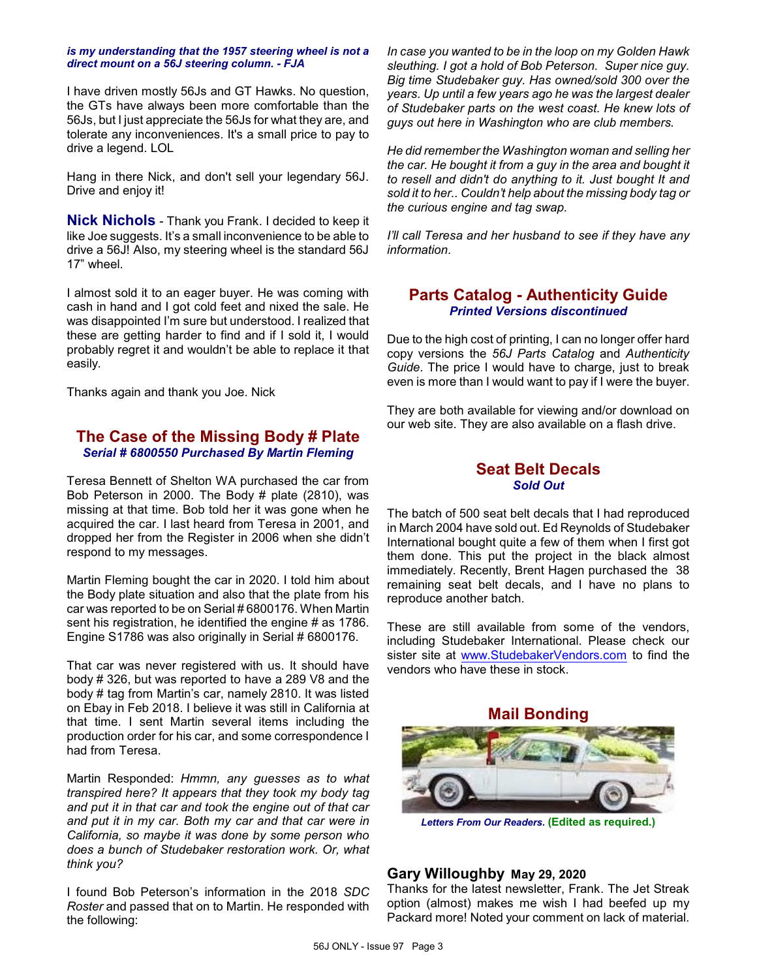#### *is my understanding that the 1957 steering wheel is not a direct mount on a 56J steering column. - FJA*

I have driven mostly 56Js and GT Hawks. No question, the GTs have always been more comfortable than the 56Js, but I just appreciate the 56Js for what they are, and tolerate any inconveniences. It's a small price to pay to drive a legend. LOL

Hang in there Nick, and don't sell your legendary 56J. Drive and enjoy it!

**Nick Nichols** - Thank you Frank. I decided to keep it like Joe suggests. It's a small inconvenience to be able to drive a 56J! Also, my steering wheel is the standard 56J 17" wheel.

I almost sold it to an eager buyer. He was coming with cash in hand and I got cold feet and nixed the sale. He was disappointed I'm sure but understood. I realized that these are getting harder to find and if I sold it, I would probably regret it and wouldn't be able to replace it that easily.

Thanks again and thank you Joe. Nick

## **The Case of the Missing Body # Plate** *Serial # 6800550 Purchased By Martin Fleming*

Teresa Bennett of Shelton WA purchased the car from Bob Peterson in 2000. The Body # plate (2810), was missing at that time. Bob told her it was gone when he acquired the car. I last heard from Teresa in 2001, and dropped her from the Register in 2006 when she didn't respond to my messages.

Martin Fleming bought the car in 2020. I told him about the Body plate situation and also that the plate from his car was reported to be on Serial # 6800176. When Martin sent his registration, he identified the engine # as 1786. Engine S1786 was also originally in Serial # 6800176.

That car was never registered with us. It should have body # 326, but was reported to have a 289 V8 and the body # tag from Martin's car, namely 2810. It was listed on Ebay in Feb 2018. I believe it was still in California at that time. I sent Martin several items including the production order for his car, and some correspondence I had from Teresa.

Martin Responded: *Hmmn, any guesses as to what transpired here? It appears that they took my body tag and put it in that car and took the engine out of that car and put it in my car. Both my car and that car were in California, so maybe it was done by some person who does a bunch of Studebaker restoration work. Or, what think you?*

I found Bob Peterson's information in the 2018 *SDC Roster* and passed that on to Martin. He responded with the following:

*In case you wanted to be in the loop on my Golden Hawk sleuthing. I got a hold of Bob Peterson. Super nice guy. Big time Studebaker guy. Has owned/sold 300 over the years. Up until a few years ago he was the largest dealer of Studebaker parts on the west coast. He knew lots of guys out here in Washington who are club members.*

*He did remember the Washington woman and selling her the car. He bought it from a guy in the area and bought it to resell and didn't do anything to it. Just bought It and sold it to her.. Couldn't help about the missing body tag or the curious engine and tag swap.*

*I'll call Teresa and her husband to see if they have any information*.

### **Parts Catalog - Authenticity Guide** *Printed Versions discontinued*

Due to the high cost of printing, I can no longer offer hard copy versions the *56J Parts Catalog* and *Authenticity Guide*. The price I would have to charge, just to break even is more than I would want to pay if I were the buyer.

They are both available for viewing and/or download on our web site. They are also available on a flash drive.

#### **Seat Belt Decals** *Sold Out*

The batch of 500 seat belt decals that I had reproduced in March 2004 have sold out. Ed Reynolds of Studebaker International bought quite a few of them when I first got them done. This put the project in the black almost immediately. Recently, Brent Hagen purchased the 38 remaining seat belt decals, and I have no plans to reproduce another batch.

These are still available from some of the vendors, including Studebaker International. Please check our sister site at [www.StudebakerVendors.com](http://www.StudebakerVendors.com) to find the vendors who have these in stock.

**Mail Bonding**

*Letters From Our Readers.* **(Edited as required.)**

#### **Gary Willoughby May 29, 2020**

Thanks for the latest newsletter, Frank. The Jet Streak option (almost) makes me wish I had beefed up my Packard more! Noted your comment on lack of material.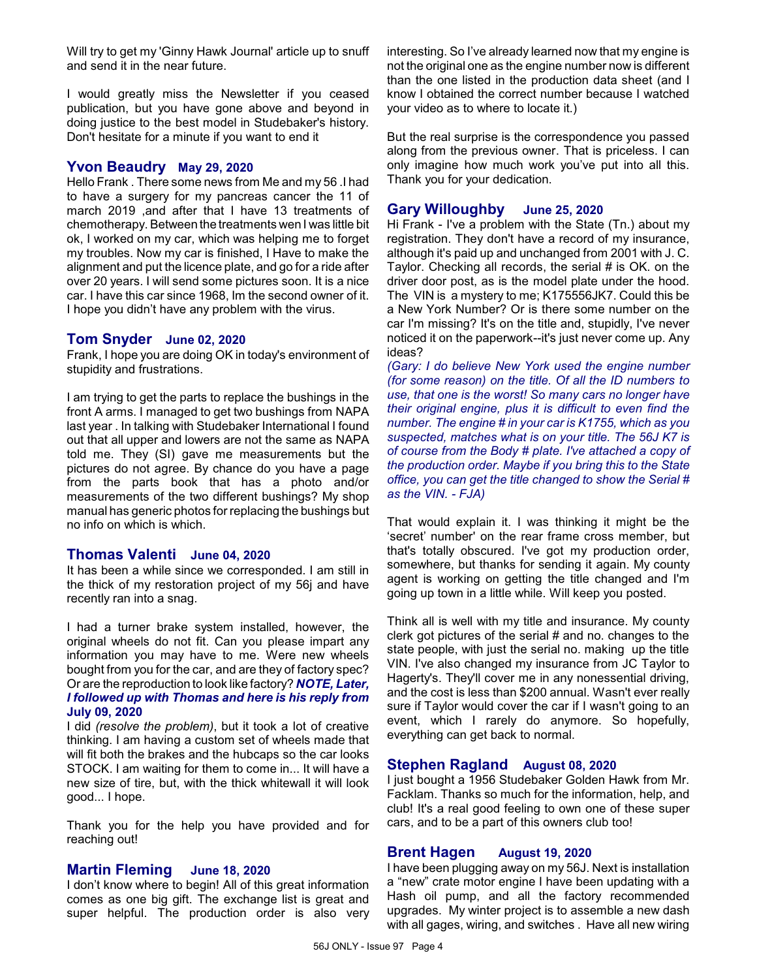Will try to get my 'Ginny Hawk Journal' article up to snuff and send it in the near future.

I would greatly miss the Newsletter if you ceased publication, but you have gone above and beyond in doing justice to the best model in Studebaker's history. Don't hesitate for a minute if you want to end it

#### **Yvon Beaudry May 29, 2020**

Hello Frank . There some news from Me and my 56 .I had to have a surgery for my pancreas cancer the 11 of march 2019 ,and after that I have 13 treatments of chemotherapy. Between the treatments wen I was little bit ok, I worked on my car, which was helping me to forget my troubles. Now my car is finished, I Have to make the alignment and put the licence plate, and go for a ride after over 20 years. I will send some pictures soon. It is a nice car. I have this car since 1968, Im the second owner of it. I hope you didn't have any problem with the virus.

#### **Tom Snyder June 02, 2020**

Frank, I hope you are doing OK in today's environment of stupidity and frustrations.

I am trying to get the parts to replace the bushings in the front A arms. I managed to get two bushings from NAPA last year . In talking with Studebaker International I found out that all upper and lowers are not the same as NAPA told me. They (SI) gave me measurements but the pictures do not agree. By chance do you have a page from the parts book that has a photo and/or measurements of the two different bushings? My shop manual has generic photos for replacing the bushings but no info on which is which.

#### **Thomas Valenti June 04, 2020**

It has been a while since we corresponded. I am still in the thick of my restoration project of my 56j and have recently ran into a snag.

I had a turner brake system installed, however, the original wheels do not fit. Can you please impart any information you may have to me. Were new wheels bought from you for the car, and are they of factory spec? Or are the reproduction to look like factory? *NOTE, Later, I followed up with Thomas and here is his reply from* **July 09, 2020**

I did *(resolve the problem)*, but it took a lot of creative thinking. I am having a custom set of wheels made that will fit both the brakes and the hubcaps so the car looks STOCK. I am waiting for them to come in... It will have a new size of tire, but, with the thick whitewall it will look good... I hope.

Thank you for the help you have provided and for reaching out!

#### **Martin Fleming June 18, 2020**

I don't know where to begin! All of this great information comes as one big gift. The exchange list is great and super helpful. The production order is also very interesting. So I've already learned now that my engine is not the original one as the engine number now is different than the one listed in the production data sheet (and I know I obtained the correct number because I watched your video as to where to locate it.)

But the real surprise is the correspondence you passed along from the previous owner. That is priceless. I can only imagine how much work you've put into all this. Thank you for your dedication.

#### **Gary Willoughby June 25, 2020**

Hi Frank - I've a problem with the State (Tn.) about my registration. They don't have a record of my insurance, although it's paid up and unchanged from 2001 with J. C. Taylor. Checking all records, the serial # is OK. on the driver door post, as is the model plate under the hood. The VIN is a mystery to me; K175556JK7. Could this be a New York Number? Or is there some number on the car I'm missing? It's on the title and, stupidly, I've never noticed it on the paperwork--it's just never come up. Any ideas?

*(Gary: I do believe New York used the engine number (for some reason) on the title. Of all the ID numbers to use, that one is the worst! So many cars no longer have their original engine, plus it is difficult to even find the number. The engine # in your car is K1755, which as you suspected, matches what is on your title. The 56J K7 is of course from the Body # plate. I've attached a copy of the production order. Maybe if you bring this to the State office, you can get the title changed to show the Serial # as the VIN. - FJA)*

That would explain it. I was thinking it might be the 'secret' number' on the rear frame cross member, but that's totally obscured. I've got my production order, somewhere, but thanks for sending it again. My county agent is working on getting the title changed and I'm going up town in a little while. Will keep you posted.

Think all is well with my title and insurance. My county clerk got pictures of the serial # and no. changes to the state people, with just the serial no. making up the title VIN. I've also changed my insurance from JC Taylor to Hagerty's. They'll cover me in any nonessential driving, and the cost is less than \$200 annual. Wasn't ever really sure if Taylor would cover the car if I wasn't going to an event, which I rarely do anymore. So hopefully, everything can get back to normal.

#### **Stephen Ragland August 08, 2020**

I just bought a 1956 Studebaker Golden Hawk from Mr. Facklam. Thanks so much for the information, help, and club! It's a real good feeling to own one of these super cars, and to be a part of this owners club too!

#### **Brent Hagen August 19, 2020**

I have been plugging away on my 56J. Next is installation a "new" crate motor engine I have been updating with a Hash oil pump, and all the factory recommended upgrades. My winter project is to assemble a new dash with all gages, wiring, and switches . Have all new wiring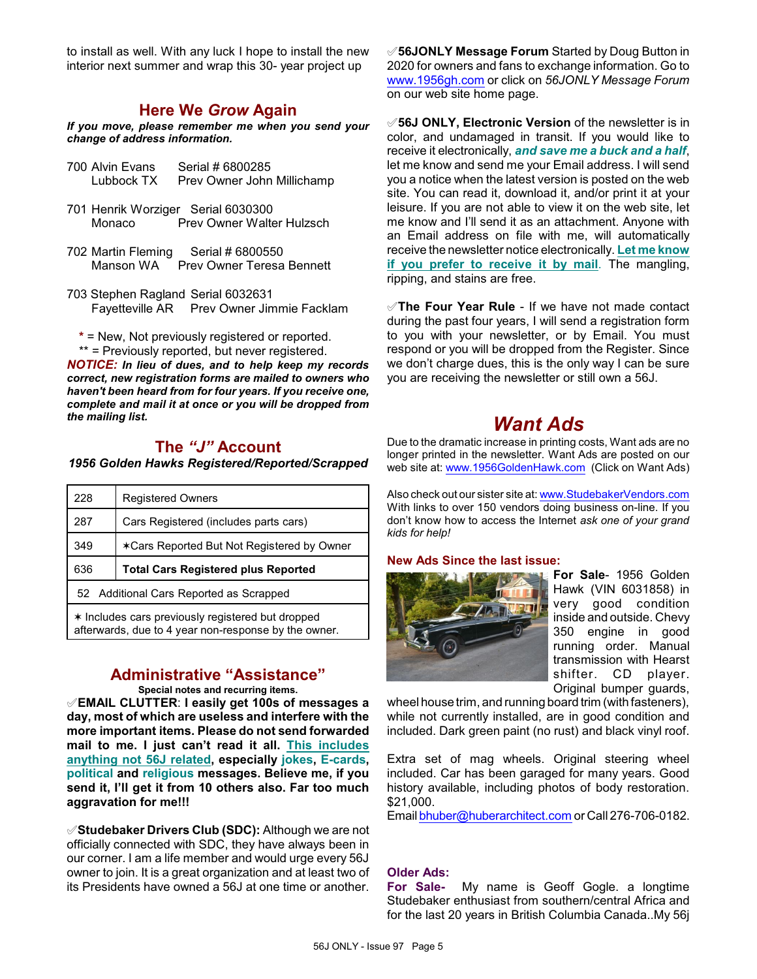to install as well. With any luck I hope to install the new interior next summer and wrap this 30- year project up

## **Here We** *Grow* **Again**

*If you move, please remember me when you send your change of address information.*

- 700 Alvin Evans Serial # 6800285 Lubbock TX Prev Owner John Millichamp
- 701 Henrik Worziger Serial 6030300 Monaco Prev Owner Walter Hulzsch
- 702 Martin Fleming Serial # 6800550<br>Manson WA Prev Owner Teresa Prev Owner Teresa Bennett
- 703 Stephen Ragland Serial 6032631 Fayetteville AR Prev Owner Jimmie Facklam

**\*** = New, Not previously registered or reported. \*\* = Previously reported, but never registered.

*NOTICE: In lieu of dues, and to help keep my records correct, new registration forms are mailed to owners who haven't been heard from for four years. If you receive one, complete and mail it at once or you will be dropped from the mailing list.*

## **The** *"J"* **Account**

#### *1956 Golden Hawks Registered/Reported/Scrapped*

| 228                                               | <b>Registered Owners</b>                   |
|---------------------------------------------------|--------------------------------------------|
| 287                                               | Cars Registered (includes parts cars)      |
| 349                                               | *Cars Reported But Not Registered by Owner |
| 636                                               | <b>Total Cars Registered plus Reported</b> |
| 52 Additional Cars Reported as Scrapped           |                                            |
| * Includes cars previously registered but dropped |                                            |

afterwards, due to 4 year non-response by the owner.

## **Administrative "Assistance"**

**Special notes and recurring items.**

°**EMAIL CLUTTER**: **I easily get 100s of messages a day, most of which are useless and interfere with the more important items. Please do not send forwarded mail to me. I just can't read it all. This includes anything not 56J related, especially jokes, E-cards, political and religious messages. Believe me, if you send it, I'll get it from 10 others also. Far too much aggravation for me!!!**

°**Studebaker Drivers Club (SDC):** Although we are not officially connected with SDC, they have always been in our corner. I am a life member and would urge every 56J owner to join. It is a great organization and at least two of its Presidents have owned a 56J at one time or another.

°**56JONLY Message Forum** Started by Doug Button in 2020 for owners and fans to exchange information. Go to [www.1956gh.com](http://www.1956gh.com) or click on *56JONLY Message Forum* on our web site home page.

°**56J ONLY, Electronic Version** of the newsletter is in color, and undamaged in transit. If you would like to receive it electronically, *and save me a buck and a half*, let me know and send me your Email address. I will send you a notice when the latest version is posted on the web site. You can read it, download it, and/or print it at your leisure. If you are not able to view it on the web site, let me know and I'll send it as an attachment. Anyone with an Email address on file with me, will automatically receive the newsletter notice electronically. **Let me know if you prefer to receive it by mail**. The mangling, ripping, and stains are free.

°**The Four Year Rule** - If we have not made contact during the past four years, I will send a registration form to you with your newsletter, or by Email. You must respond or you will be dropped from the Register. Since we don't charge dues, this is the only way I can be sure you are receiving the newsletter or still own a 56J.

# *Want Ads*

Due to the dramatic increase in printing costs, Want ads are no longer printed in the newsletter. Want Ads are posted on our web site at: [www.1956GoldenHawk.com](http://www.1956GoldenHawk.com) (Click on Want Ads)

Also check out our sister site at: [www.StudebakerVendors.com](http://www.StudebakerVendors.com) With links to over 150 vendors doing business on-line. If you don't know how to access the Internet *ask one of your grand kids for help!*

#### **New Ads Since the last issue:**



**For Sale**- 1956 Golden Hawk (VIN 6031858) in very good condition inside and outside. Chevy 350 engine in good running order. Manual transmission with Hearst shifter. CD player. Original bumper guards,

wheel house trim, and running board trim (with fasteners), while not currently installed, are in good condition and included. Dark green paint (no rust) and black vinyl roof.

Extra set of mag wheels. Original steering wheel included. Car has been garaged for many years. Good history available, including photos of body restoration. \$21,000.

Email [bhuber@huberarchitect.com](mailto:bhuber@huberarchitect.com) or Call 276-706-0182.

### **Older Ads:**

**For Sale-** My name is Geoff Gogle. a longtime Studebaker enthusiast from southern/central Africa and for the last 20 years in British Columbia Canada..My 56j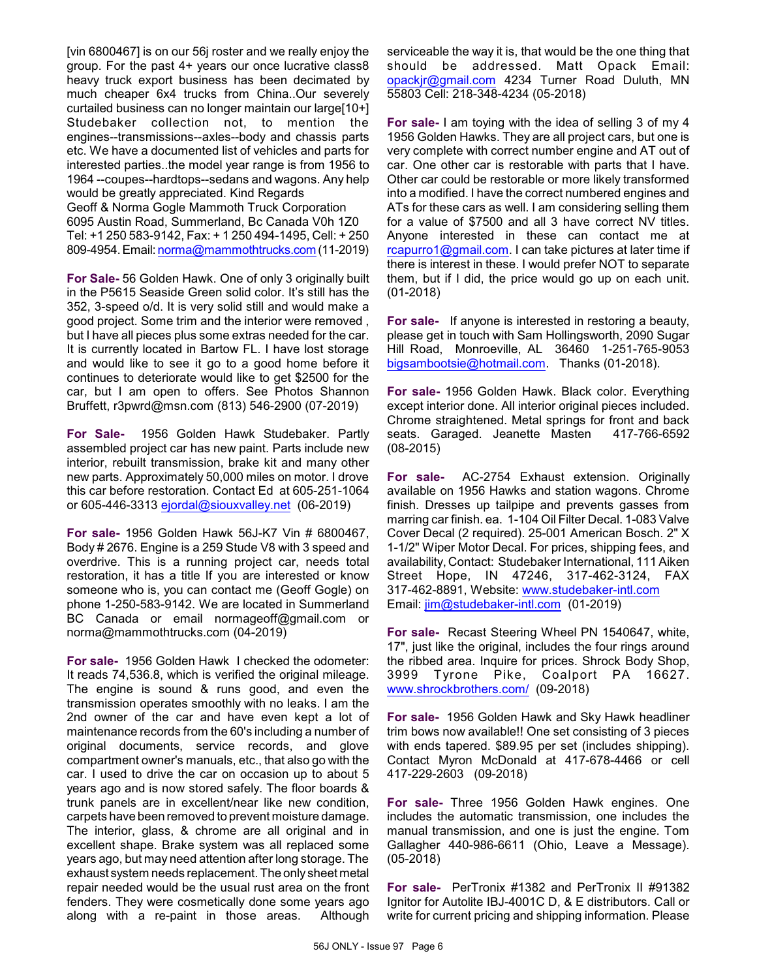[vin 6800467] is on our 56j roster and we really enjoy the group. For the past 4+ years our once lucrative class8 heavy truck export business has been decimated by much cheaper 6x4 trucks from China..Our severely curtailed business can no longer maintain our large[10+] Studebaker collection not, to mention the engines--transmissions--axles--body and chassis parts etc. We have a documented list of vehicles and parts for interested parties..the model year range is from 1956 to 1964 --coupes--hardtops--sedans and wagons. Any help would be greatly appreciated. Kind Regards Geoff & Norma Gogle Mammoth Truck Corporation 6095 Austin Road, Summerland, Bc Canada V0h 1Z0 Tel: +1 250 583-9142, Fax: + 1 250 494-1495, Cell: + 250 809-4954.Email: [norma@mammothtrucks.com](mailto:norma@mammothtrucks.com) (11-2019)

**For Sale-** 56 Golden Hawk. One of only 3 originally built in the P5615 Seaside Green solid color. It's still has the 352, 3-speed o/d. It is very solid still and would make a good project. Some trim and the interior were removed , but I have all pieces plus some extras needed for the car. It is currently located in Bartow FL. I have lost storage and would like to see it go to a good home before it continues to deteriorate would like to get \$2500 for the car, but I am open to offers. See Photos Shannon Bruffett, r3pwrd@msn.com (813) 546-2900 (07-2019)

**For Sale-** 1956 Golden Hawk Studebaker. Partly assembled project car has new paint. Parts include new interior, rebuilt transmission, brake kit and many other new parts. Approximately 50,000 miles on motor. I drove this car before restoration. Contact Ed at 605-251-1064 or 605-446-3313 [ejordal@siouxvalley.net](mailto:ejordal@siouxvalley.net) (06-2019)

**For sale-** 1956 Golden Hawk 56J-K7 Vin # 6800467, Body # 2676. Engine is a 259 Stude V8 with 3 speed and overdrive. This is a running project car, needs total restoration, it has a title If you are interested or know someone who is, you can contact me (Geoff Gogle) on phone 1-250-583-9142. We are located in Summerland BC Canada or email normageoff@gmail.com or norma@mammothtrucks.com (04-2019)

**For sale-** 1956 Golden Hawk I checked the odometer: It reads 74,536.8, which is verified the original mileage. The engine is sound & runs good, and even the transmission operates smoothly with no leaks. I am the 2nd owner of the car and have even kept a lot of maintenance records from the 60's including a number of original documents, service records, and glove compartment owner's manuals, etc., that also go with the car. I used to drive the car on occasion up to about 5 years ago and is now stored safely. The floor boards & trunk panels are in excellent/near like new condition, carpets have been removed to prevent moisture damage. The interior, glass, & chrome are all original and in excellent shape. Brake system was all replaced some years ago, but may need attention after long storage. The exhaust system needs replacement. The only sheet metal repair needed would be the usual rust area on the front fenders. They were cosmetically done some years ago along with a re-paint in those areas. Although

serviceable the way it is, that would be the one thing that should be addressed. Matt Opack Email: [opackjr@gmail.com](mailto:opackjr@gmail.com) 4234 Turner Road Duluth, MN 55803 Cell: 218-348-4234 (05-2018)

**For sale-** I am toying with the idea of selling 3 of my 4 1956 Golden Hawks. They are all project cars, but one is very complete with correct number engine and AT out of car. One other car is restorable with parts that I have. Other car could be restorable or more likely transformed into a modified. I have the correct numbered engines and ATs for these cars as well. I am considering selling them for a value of \$7500 and all 3 have correct NV titles. Anyone interested in these can contact me at [rcapurro1@gmail.com](mailto:rcapurro1@gmail.com). I can take pictures at later time if there is interest in these. I would prefer NOT to separate them, but if I did, the price would go up on each unit. (01-2018)

**For sale-** If anyone is interested in restoring a beauty, please get in touch with Sam Hollingsworth, 2090 Sugar Hill Road, Monroeville, AL 36460 1-251-765-9053 [bigsambootsie@hotmail.com](mailto:bigsambootsie@hotmail.com). Thanks (01-2018).

**For sale-** 1956 Golden Hawk. Black color. Everything except interior done. All interior original pieces included. Chrome straightened. Metal springs for front and back seats. Garaged. Jeanette Masten 417-766-6592 (08-2015)

**For sale-** AC-2754 Exhaust extension. Originally available on 1956 Hawks and station wagons. Chrome finish. Dresses up tailpipe and prevents gasses from marring car finish. ea. 1-104 Oil Filter Decal. 1-083 Valve Cover Decal (2 required). 25-001 American Bosch. 2" X 1-1/2" Wiper Motor Decal. For prices, shipping fees, and availability, Contact: Studebaker International, 111 Aiken Street Hope, IN 47246, 317-462-3124, FAX 317-462-8891, Website: [www.studebaker-intl.com](http://www.studebaker-intl.com) Email: [jim@studebaker-intl.com](mailto:jim@studebaker-intl.com) (01-2019)

**For sale-** Recast Steering Wheel PN 1540647, white, 17", just like the original, includes the four rings around the ribbed area. Inquire for prices. Shrock Body Shop, 3999 Tyrone Pike, Coalport PA 16627. [www.shrockbrothers.com/](http://www.shrockbrothers.com/) (09-2018)

**For sale-** 1956 Golden Hawk and Sky Hawk headliner trim bows now available!! One set consisting of 3 pieces with ends tapered. \$89.95 per set (includes shipping). Contact Myron McDonald at 417-678-4466 or cell 417-229-2603 (09-2018)

**For sale-** Three 1956 Golden Hawk engines. One includes the automatic transmission, one includes the manual transmission, and one is just the engine. Tom Gallagher 440-986-6611 (Ohio, Leave a Message). (05-2018)

**For sale-** PerTronix #1382 and PerTronix II #91382 Ignitor for Autolite IBJ-4001C D, & E distributors. Call or write for current pricing and shipping information. Please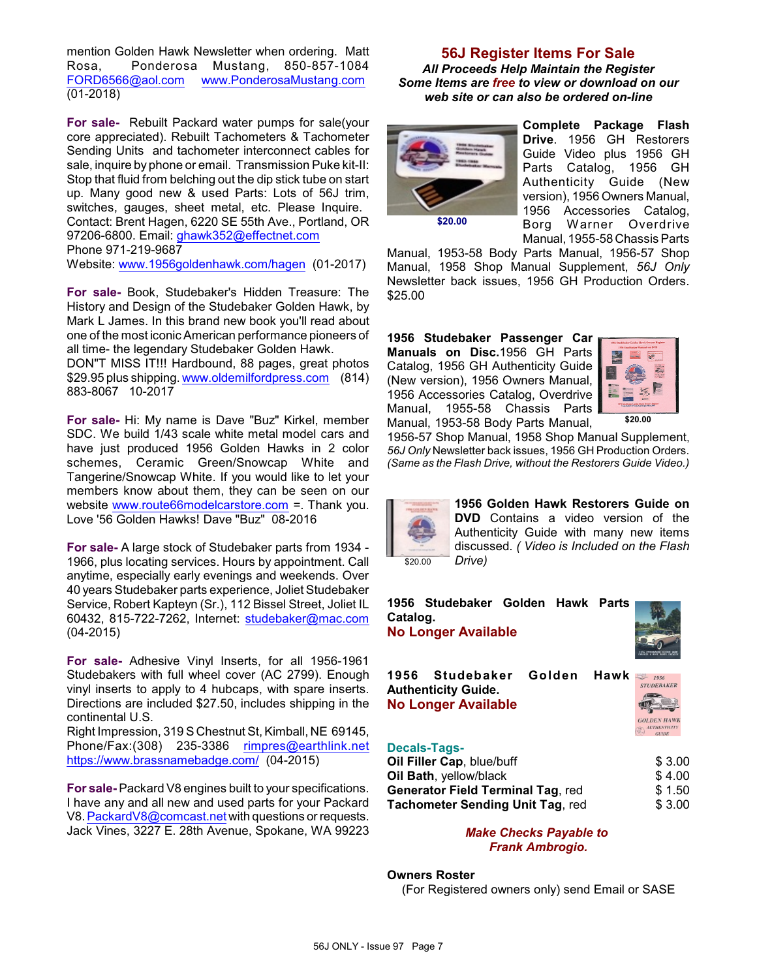mention Golden Hawk Newsletter when ordering. Matt Rosa, Ponderosa Mustang, 850-857-1084 [FORD6566@aol.com](mailto:FORD6566@aol.com) [www.PonderosaMustang.com](http://www.PonderosaMustang.com) (01-2018)

**For sale-** Rebuilt Packard water pumps for sale(your core appreciated). Rebuilt Tachometers & Tachometer Sending Units and tachometer interconnect cables for sale, inquire by phone or email. Transmission Puke kit-II: Stop that fluid from belching out the dip stick tube on start up. Many good new & used Parts: Lots of 56J trim, switches, gauges, sheet metal, etc. Please Inquire. Contact: Brent Hagen, 6220 SE 55th Ave., Portland, OR 97206-6800. Email: [ghawk352@effectnet.com](mailto:ghawk352@effectnet.com) Phone 971-219-9687

Website: [www.1956goldenhawk.com/hagen](http://www.1956goldenhawk.com/hagen) (01-2017)

**For sale-** Book, Studebaker's Hidden Treasure: The History and Design of the Studebaker Golden Hawk, by Mark L James. In this brand new book you'll read about one of the most iconic American performance pioneers of all time- the legendary Studebaker Golden Hawk.

DON"T MISS IT!!! Hardbound, 88 pages, great photos \$29.95 plus shipping. [www.oldemilfordpress.com](http://www.oldemilfordpress.com) (814) 883-8067 10-2017

**For sale-** Hi: My name is Dave "Buz" Kirkel, member SDC. We build 1/43 scale white metal model cars and have just produced 1956 Golden Hawks in 2 color schemes, Ceramic Green/Snowcap White and Tangerine/Snowcap White. If you would like to let your members know about them, they can be seen on our website [www.route66modelcarstore.com](http://www.route66modelcarstore.com) =. Thank you. Love '56 Golden Hawks! Dave "Buz" 08-2016

**For sale-** A large stock of Studebaker parts from 1934 - 1966, plus locating services. Hours by appointment. Call anytime, especially early evenings and weekends. Over 40 years Studebaker parts experience, Joliet Studebaker Service, Robert Kapteyn (Sr.), 112 Bissel Street, Joliet IL 60432, 815-722-7262, Internet: [studebaker@mac.com](mailto:studebaker@mac.com) (04-2015)

**For sale-** Adhesive Vinyl Inserts, for all 1956-1961 Studebakers with full wheel cover (AC 2799). Enough vinyl inserts to apply to 4 hubcaps, with spare inserts. Directions are included \$27.50, includes shipping in the continental U.S.

Right Impression, 319 S Chestnut St, Kimball, NE 69145, Phone/Fax:(308) 235-3386 [rimpres@earthlink.net](mailto:rimpres@earthlink.net) <https://www.brassnamebadge.com/> (04-2015)

**For sale-** Packard V8 engines built to your specifications. I have any and all new and used parts for your Packard V8. [PackardV8@comcast.net](mailto:PackardV8@comcast.net) with questions or requests. Jack Vines, 3227 E. 28th Avenue, Spokane, WA 99223

## **56J Register Items For Sale**

*All Proceeds Help Maintain the Register Some Items are free to view or download on our web site or can also be ordered on-line*



**Complete Package Flash Drive**. 1956 GH Restorers Guide Video plus 1956 GH Parts Catalog, 1956 GH Authenticity Guide (New version), 1956 Owners Manual, 1956 Accessories Catalog, Borg Warner Overdrive Manual, 1955-58 Chassis Parts

Manual, 1953-58 Body Parts Manual, 1956-57 Shop Manual, 1958 Shop Manual Supplement, *56J Only* Newsletter back issues, 1956 GH Production Orders. \$25.00

**1956 Studebaker Passenger Car Manuals on Disc.**1956 GH Parts Catalog, 1956 GH Authenticity Guide (New version), 1956 Owners Manual, 1956 Accessories Catalog, Overdrive Manual, 1955-58 Chassis Parts Manual, 1953-58 Body Parts Manual,



1956-57 Shop Manual, 1958 Shop Manual Supplement, *56J Only* Newsletter back issues, 1956 GH Production Orders. *(Same as the Flash Drive, without the Restorers Guide Video.)*



**1956 Golden Hawk Restorers Guide on DVD** Contains a video version of the Authenticity Guide with many new items discussed. *( Video is Included on the Flash Drive)*



#### **Owners Roster**

(For Registered owners only) send Email or SASE